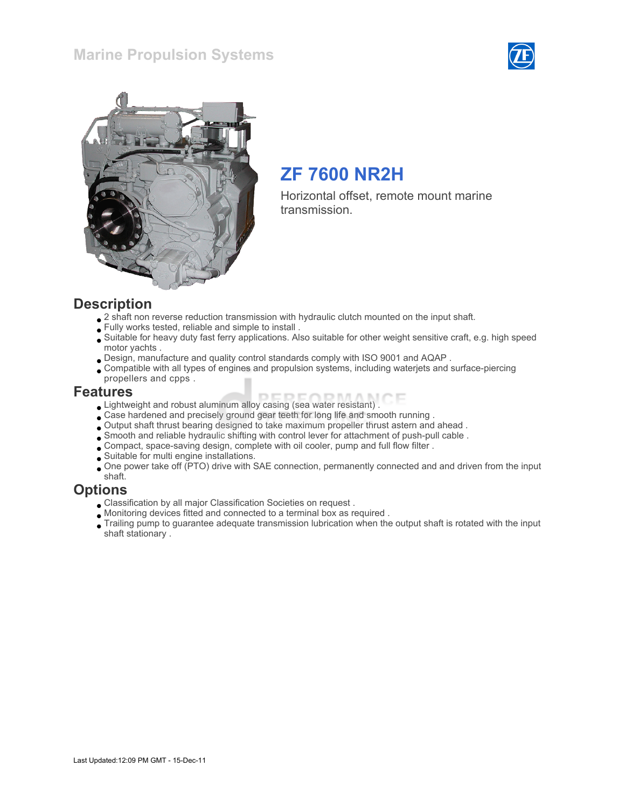## Marine Propulsion Systems





# ZF 7600 NR2H

Horizontal offset, remote mount marine transmission.

#### **Description**

- $\bullet$  2 shaft non reverse reduction transmission with hydraulic clutch mounted on the input shaft.
- Fully works tested, reliable and simple to install .
- Suitable for heavy duty fast ferry applications. Also suitable for other weight sensitive craft, e.g. high speed motor yachts .
- Design, manufacture and quality control standards comply with ISO 9001 and AQAP .
- Compatible with all types of engines and propulsion systems, including waterjets and surface-piercing propellers and cpps .

#### Features

- Lightweight and robust aluminum alloy casing (sea water resistant) .
- Case hardened and precisely ground gear teeth for long life and smooth running .
- Output shaft thrust bearing designed to take maximum propeller thrust astern and ahead .
- Smooth and reliable hydraulic shifting with control lever for attachment of push-pull cable .
- Compact, space-saving design, complete with oil cooler, pump and full flow filter .
- Suitable for multi engine installations.
- One power take off (PTO) drive with SAE connection, permanently connected and and driven from the input shaft.

#### **Options**

- Classification by all major Classification Societies on request .
- Monitoring devices fitted and connected to a terminal box as required .
- Trailing pump to guarantee adequate transmission lubrication when the output shaft is rotated with the input shaft stationary .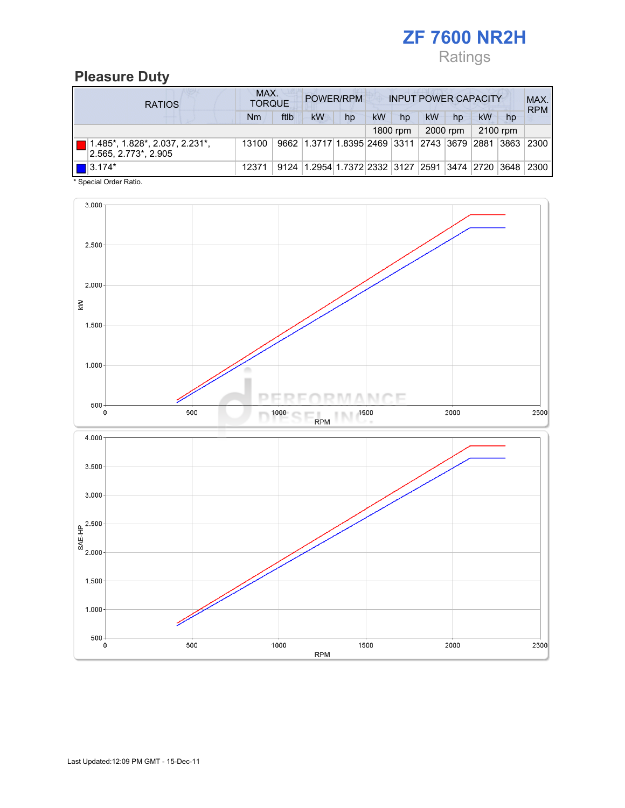

#### Pleasure Duty

| <b>RATIOS</b>                                          | MAX.<br>POWER/RPM<br><b>INPUT POWER CAPACITY</b><br><b>TORQUE</b> |      |                                                  |    |           |          |    |          |    |                | MAX.<br><b>RPM</b> |
|--------------------------------------------------------|-------------------------------------------------------------------|------|--------------------------------------------------|----|-----------|----------|----|----------|----|----------------|--------------------|
|                                                        | Nm                                                                | ftlb | <b>kW</b>                                        | hp | <b>kW</b> | hp       | kW | hp       | kW | hp             |                    |
|                                                        |                                                                   |      |                                                  |    |           | 1800 rpm |    | 2000 rpm |    | 2100 rpm       |                    |
| 1.485*, 1.828*, 2.037, 2.231*,<br>2.565, 2.773*, 2.905 | 13100                                                             |      | 9662 1.3717 1.8395 2469 3311 2743 3679 2881      |    |           |          |    |          |    | $ 3863\rangle$ | 2300               |
| $\blacksquare$ 3.174*                                  | 12371                                                             |      | 9124 1.2954 1.7372 2332 3127 2591 3474 2720 3648 |    |           |          |    |          |    |                | 2300               |

\* Special Order Ratio.

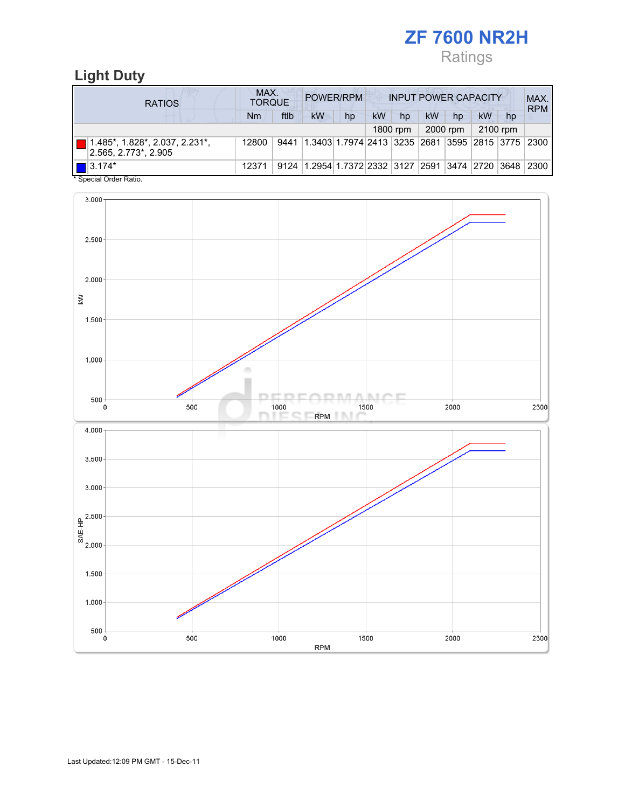# ZF 7600 NR2H Ratings

# Light Duty

| <b>RATIOS</b>                                              | MAX.<br>POWER/RPM<br><b>INPUT POWER CAPACITY</b><br><b>TORQUE</b> |      |                                                        |    |    |          |    |          |    |          | MAX.<br><b>RPM</b> |
|------------------------------------------------------------|-------------------------------------------------------------------|------|--------------------------------------------------------|----|----|----------|----|----------|----|----------|--------------------|
|                                                            | <b>Nm</b>                                                         | ftlb | kW                                                     | hp | kW | hp       | kW | hp       | kW | hp       |                    |
|                                                            |                                                                   |      |                                                        |    |    | 1800 rpm |    | 2000 rpm |    | 2100 rpm |                    |
| 1.485*, 1.828*, 2.037, 2.231*,<br>$ 2.565, 2.773$ *, 2.905 | 12800                                                             | 9441 | 1.3403 1.7974 2413  3235  2681  3595  2815  3775  2300 |    |    |          |    |          |    |          |                    |
| $  $   3.174*<br>$*$ On a simil Onder Definition           | 12371                                                             |      | 9124 1.2954 1.7372 2332 3127 2591 3474 2720 3648       |    |    |          |    |          |    |          | 2300               |

Special Order Ratio.

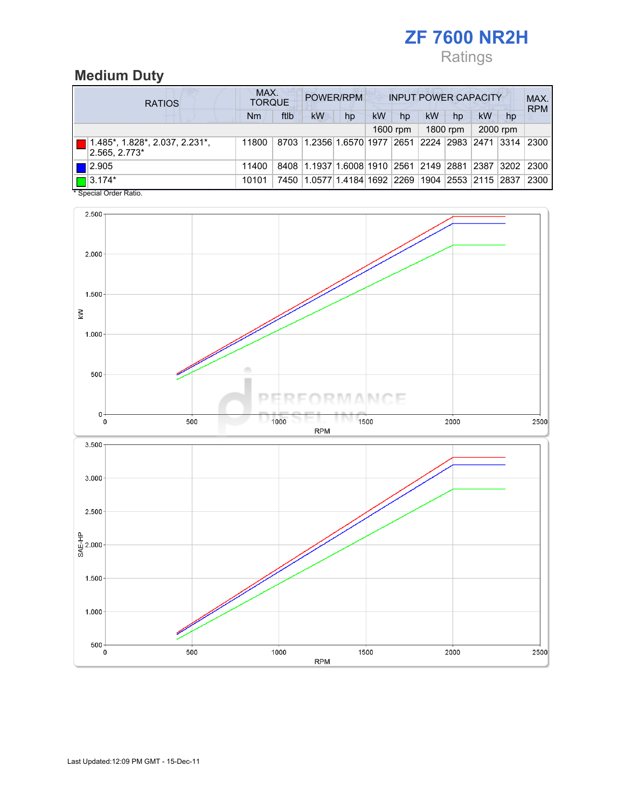# ZF 7600 NR2H Ratings

# Medium Duty

| <b>RATIOS</b> |                                                 | MAX.<br>POWER/RPM<br><b>INPUT POWER CAPACITY</b><br><b>TORQUE</b> |      |                                                       |    |           |          |           |          |    |          | MAX.<br><b>RPM</b> |
|---------------|-------------------------------------------------|-------------------------------------------------------------------|------|-------------------------------------------------------|----|-----------|----------|-----------|----------|----|----------|--------------------|
|               |                                                 | Nm                                                                | ftlb | kW                                                    | hp | <b>kW</b> | hp       | <b>kW</b> | hp       | kW | hp       |                    |
|               |                                                 |                                                                   |      |                                                       |    |           | 1600 rpm |           | 1800 rpm |    | 2000 rpm |                    |
|               | 1.485*, 1.828*, 2.037, 2.231*,<br>2.565, 2.773* | 11800                                                             |      | 8703 1.2356 1.6570 1977 2651 2224 2983 2471 3314 2300 |    |           |          |           |          |    |          |                    |
|               | $\blacksquare$ 2.905                            | 11400                                                             |      | 8408 1.1937 1.6008 1910 2561 2149 2881 2387 3202      |    |           |          |           |          |    |          | 2300               |
|               | $\Box$ 3.174*                                   | 10101                                                             |      | 7450 1.0577 1.4184 1692 2269 1904 2553 2115 2837      |    |           |          |           |          |    |          | 2300               |

\* Special Order Ratio.

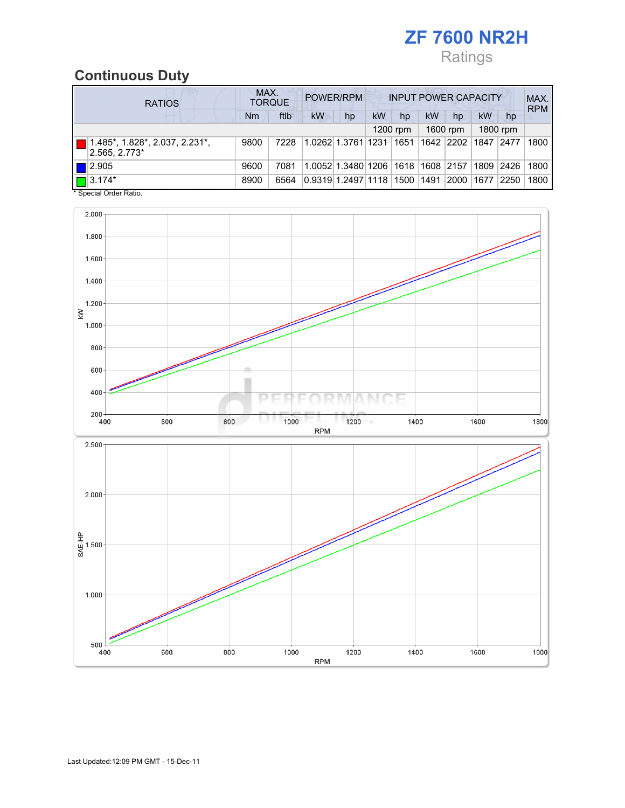# ZF 7600 NR2H Ratings

## Continuous Duty

| <b>RATIOS</b>                                   |      | MAX.<br>POWER/RPM<br><b>INPUT POWER CAPACITY</b><br><b>TORQUE</b> |                    |                                   |    |          |      |           |      |                |            |
|-------------------------------------------------|------|-------------------------------------------------------------------|--------------------|-----------------------------------|----|----------|------|-----------|------|----------------|------------|
|                                                 | Nm   | ftlb                                                              | kW                 | hp                                | kW | hp       | kW   | hp        | kW   | hp             | <b>RPM</b> |
|                                                 |      |                                                                   |                    |                                   |    | 1200 rpm |      | 1600 rpm  |      | 1800 rpm       |            |
| 1.485*, 1.828*, 2.037, 2.231*,<br>2.565, 2.773* | 9800 | 7228                                                              |                    | 1.0262 1.3761 1231                |    | 1651     |      | 1642 2202 | 1847 | 2477           | 1800       |
| 2.905                                           | 9600 | 7081                                                              |                    | 1.0052 1.3480 1206 1618 1608 2157 |    |          |      |           | 1809 | $ 2426\rangle$ | 1800       |
| $\blacksquare$ 3.174*                           | 8900 | 6564                                                              | 0.9319 1.2497 1118 |                                   |    | 1500     | 1491 | 2000      | 1677 | 2250           | 1800       |

\* Special Order Ratio.

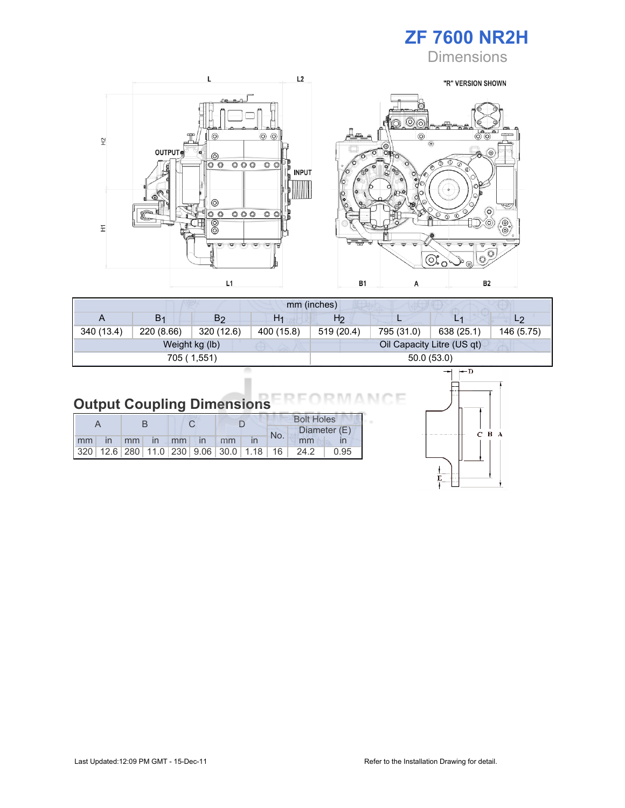





|            | mm (inches)    |                |            |                |            |                            |                |  |  |  |
|------------|----------------|----------------|------------|----------------|------------|----------------------------|----------------|--|--|--|
| A          | B <sub>1</sub> | B <sub>2</sub> | H1         | H <sub>2</sub> |            | L1                         | L <sub>2</sub> |  |  |  |
| 340 (13.4) | 220 (8.66)     | 320 (12.6)     | 400 (15.8) | 519 (20.4)     | 795 (31.0) | 638 (25.1)                 | 146 (5.75)     |  |  |  |
|            |                | Weight kg (lb) |            |                |            | Oil Capacity Litre (US qt) |                |  |  |  |
|            |                | 705 (1,551)    |            | 50.0(53.0)     |            |                            |                |  |  |  |

#### ANCE Output Coupling Dimensions N IR IM

|  |  |  |                      |  | <b>Bolt Holes</b> |                                                 |              |  |  |
|--|--|--|----------------------|--|-------------------|-------------------------------------------------|--------------|--|--|
|  |  |  |                      |  | No.               |                                                 | Diameter (E) |  |  |
|  |  |  | mm in mm in mm in mm |  |                   | mm                                              |              |  |  |
|  |  |  |                      |  |                   | $ 320 12.6 280 11.0 230 9.06 30.0 1.18 16 24.2$ | 0.95         |  |  |